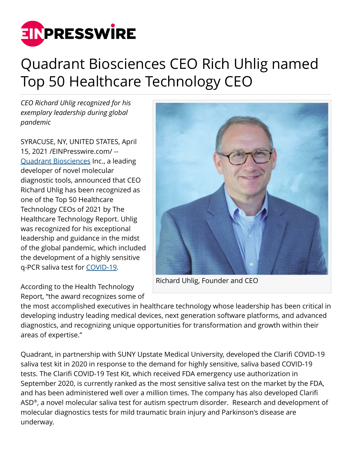

## Quadrant Biosciences CEO Rich Uhlig named Top 50 Healthcare Technology CEO

*CEO Richard Uhlig recognized for his exemplary leadership during global pandemic*

SYRACUSE, NY, UNITED STATES, April 15, 2021 /[EINPresswire.com/](http://www.einpresswire.com) -- [Quadrant Biosciences](http://www.QuadrantBiosciences.com) Inc., a leading developer of novel molecular diagnostic tools, announced that CEO Richard Uhlig has been recognized as one of the Top 50 Healthcare Technology CEOs of 2021 by The Healthcare Technology Report. Uhlig was recognized for his exceptional leadership and guidance in the midst of the global pandemic, which included the development of a highly sensitive q-PCR saliva test for [COVID-19](https://www.quadrantbiosciences.com/covid-projects-page/).

Richard Uhlig, Founder and CEO

According to the Health Technology Report, "the award recognizes some of

the most accomplished executives in healthcare technology whose leadership has been critical in developing industry leading medical devices, next generation software platforms, and advanced diagnostics, and recognizing unique opportunities for transformation and growth within their areas of expertise."

Quadrant, in partnership with SUNY Upstate Medical University, developed the Clarifi COVID-19 saliva test kit in 2020 in response to the demand for highly sensitive, saliva based COVID-19 tests. The Clarifi COVID-19 Test Kit, which received FDA emergency use authorization in September 2020, is currently ranked as the most sensitive saliva test on the market by the FDA, and has been administered well over a million times. The company has also developed Clarifi ASD® , a novel molecular saliva test for autism spectrum disorder. Research and development of molecular diagnostics tests for mild traumatic brain injury and Parkinson's disease are underway.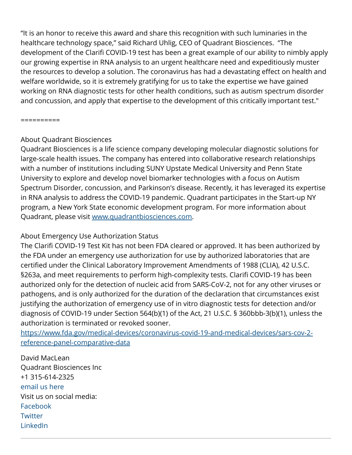"It is an honor to receive this award and share this recognition with such luminaries in the healthcare technology space," said Richard Uhlig, CEO of Quadrant Biosciences. "The development of the Clarifi COVID-19 test has been a great example of our ability to nimbly apply our growing expertise in RNA analysis to an urgent healthcare need and expeditiously muster the resources to develop a solution. The coronavirus has had a devastating effect on health and welfare worldwide, so it is extremely gratifying for us to take the expertise we have gained working on RNA diagnostic tests for other health conditions, such as autism spectrum disorder and concussion, and apply that expertise to the development of this critically important test."

==========

## About Quadrant Biosciences

Quadrant Biosciences is a life science company developing molecular diagnostic solutions for large-scale health issues. The company has entered into collaborative research relationships with a number of institutions including SUNY Upstate Medical University and Penn State University to explore and develop novel biomarker technologies with a focus on Autism Spectrum Disorder, concussion, and Parkinson's disease. Recently, it has leveraged its expertise in RNA analysis to address the COVID-19 pandemic. Quadrant participates in the Start-up NY program, a New York State economic development program. For more information about Quadrant, please visit [www.quadrantbiosciences.com](http://www.quadrantbiosciences.com).

## About Emergency Use Authorization Status

The Clarifi COVID-19 Test Kit has not been FDA cleared or approved. It has been authorized by the FDA under an emergency use authorization for use by authorized laboratories that are certified under the Clinical Laboratory Improvement Amendments of 1988 (CLIA), 42 U.S.C. §263a, and meet requirements to perform high-complexity tests. Clarifi COVID-19 has been authorized only for the detection of nucleic acid from SARS-CoV-2, not for any other viruses or pathogens, and is only authorized for the duration of the declaration that circumstances exist justifying the authorization of emergency use of in vitro diagnostic tests for detection and/or diagnosis of COVID-19 under Section 564(b)(1) of the Act, 21 U.S.C. § 360bbb-3(b)(1), unless the authorization is terminated or revoked sooner.

[https://www.fda.gov/medical-devices/coronavirus-covid-19-and-medical-devices/sars-cov-2](https://www.fda.gov/medical-devices/coronavirus-covid-19-and-medical-devices/sars-cov-2-reference-panel-comparative-data) [reference-panel-comparative-data](https://www.fda.gov/medical-devices/coronavirus-covid-19-and-medical-devices/sars-cov-2-reference-panel-comparative-data)

David MacLean Quadrant Biosciences Inc +1 315-614-2325 [email us here](http://www.einpresswire.com/contact_author/3073852) Visit us on social media: [Facebook](https://www.facebook.com/quadrantbiosciences) **[Twitter](https://twitter.com/QuadBioInc)** [LinkedIn](https://www.linkedin.com/company/quadrantbiosciencesinc)